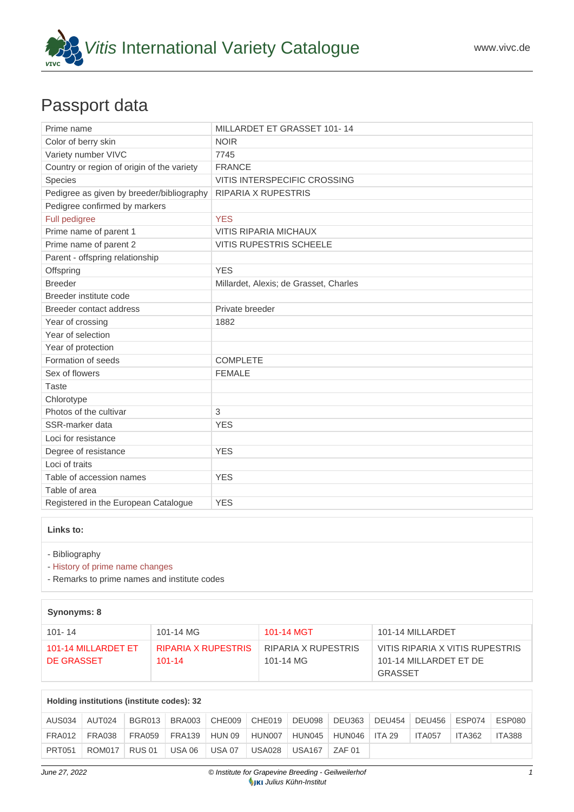

# Passport data

| Prime name                                 | MILLARDET ET GRASSET 101-14            |
|--------------------------------------------|----------------------------------------|
| Color of berry skin                        | <b>NOIR</b>                            |
| Variety number VIVC                        | 7745                                   |
| Country or region of origin of the variety | <b>FRANCE</b>                          |
| <b>Species</b>                             | <b>VITIS INTERSPECIFIC CROSSING</b>    |
| Pedigree as given by breeder/bibliography  | <b>RIPARIA X RUPESTRIS</b>             |
| Pedigree confirmed by markers              |                                        |
| Full pedigree                              | <b>YES</b>                             |
| Prime name of parent 1                     | <b>VITIS RIPARIA MICHAUX</b>           |
| Prime name of parent 2                     | <b>VITIS RUPESTRIS SCHEELE</b>         |
| Parent - offspring relationship            |                                        |
| Offspring                                  | <b>YES</b>                             |
| <b>Breeder</b>                             | Millardet, Alexis; de Grasset, Charles |
| Breeder institute code                     |                                        |
| Breeder contact address                    | Private breeder                        |
| Year of crossing                           | 1882                                   |
| Year of selection                          |                                        |
| Year of protection                         |                                        |
| Formation of seeds                         | <b>COMPLETE</b>                        |
| Sex of flowers                             | <b>FEMALE</b>                          |
| <b>Taste</b>                               |                                        |
| Chlorotype                                 |                                        |
| Photos of the cultivar                     | 3                                      |
| SSR-marker data                            | <b>YES</b>                             |
| Loci for resistance                        |                                        |
| Degree of resistance                       | <b>YES</b>                             |
| Loci of traits                             |                                        |
| Table of accession names                   | <b>YES</b>                             |
| Table of area                              |                                        |
| Registered in the European Catalogue       | <b>YES</b>                             |

#### **Links to:**

- [Bibliography](https://www.vivc.de/index.php?r=literaturverweise%2Fbibliography&LiteraturverweiseSearch[kenn_nr2]=7745&LiteraturverweiseSearch[leitname2]=MILLARDET ET GRASSET 101- 14)

- [History of prime name changes](https://www.vivc.de/index.php?HistorieSearch[kenn_nr_neu2]=7745&r=historie%2Findex1&sort=leitname_neu)

- [Remarks to prime names and institute codes](#page--1-0)

#### **Synonyms: 8**

| $101 - 14$                        | 101-14 MG                         | 101-14 MGT                       | 101-14 MILLARDET                                                     |
|-----------------------------------|-----------------------------------|----------------------------------|----------------------------------------------------------------------|
| 101-14 MILLARDET ET<br>DE GRASSET | RIPARIA X RUPESTRIS<br>$101 - 14$ | RIPARIA X RUPESTRIS<br>101-14 MG | VITIS RIPARIA X VITIS RUPESTRIS<br>101-14 MILLARDET ET DE<br>GRASSET |

## **Holding institutions (institute codes): 32**

| AUS034        | AUT024 | <b>BGR013</b> | <b>BRA003</b> | CHE009        | CHE019        | DEU098        | $\vert$ DEU363 | <b>DEU454</b> | <b>DEU456</b> | ESP074        | <b>ESP080</b> |
|---------------|--------|---------------|---------------|---------------|---------------|---------------|----------------|---------------|---------------|---------------|---------------|
| FRA012        | FRA038 | <b>FRA059</b> | FRA139        | HUN 09        | HUN007        | HUN045        | HUN046         | ITA 29        | <b>ITA057</b> | <b>ITA362</b> | ITA388        |
| <b>PRT051</b> | ROM017 | <b>RUS 01</b> | <b>USA 06</b> | <b>USA 07</b> | <b>USA028</b> | <b>USA167</b> | <b>7AF01</b>   |               |               |               |               |